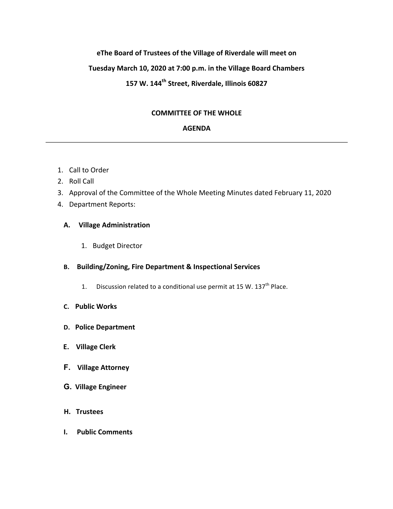# **eThe Board of Trustees of the Village of Riverdale will meet on** Tuesday March 10, 2020 at 7:00 p.m. in the Village Board Chambers **157 W. 144th Street, Riverdale, Illinois 60827**

# **COMMITTEE OF THE WHOLE**

## **AGENDA**

- 1. Call to Order
- 2. Roll Call
- 3. Approval of the Committee of the Whole Meeting Minutes dated February 11, 2020
- 4. Department Reports:

## **A. Village Administration**

1. Budget Director

## **B.** Building/Zoning, Fire Department & Inspectional Services

- 1. Discussion related to a conditional use permit at 15 W.  $137<sup>th</sup>$  Place.
- **C. Public Works**
- **D.** Police Department
- **E.** Village Clerk
- **F. Village Attorney**
- **G.** Village Engineer
- **H.** Trustees
- **I.** Public Comments